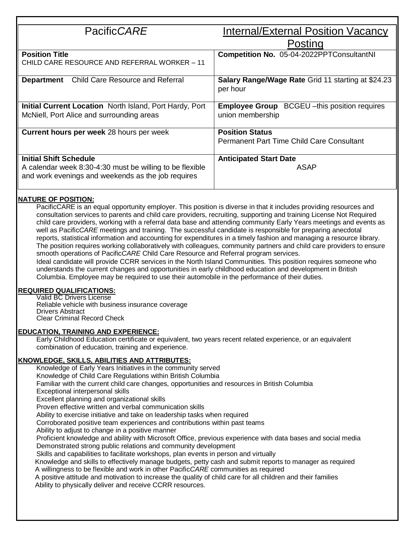| PacificCARE                                                                                                                                     | Internal/External Position Vacancy                                         |
|-------------------------------------------------------------------------------------------------------------------------------------------------|----------------------------------------------------------------------------|
|                                                                                                                                                 | Posting                                                                    |
| <b>Position Title</b><br>CHILD CARE RESOURCE AND REFERRAL WORKER - 11                                                                           | Competition No. 05-04-2022PPTConsultantNI                                  |
| <b>Child Care Resource and Referral</b><br><b>Department</b>                                                                                    | <b>Salary Range/Wage Rate Grid 11 starting at \$24.23</b><br>per hour      |
| <b>Initial Current Location</b> North Island, Port Hardy, Port<br>McNiell, Port Alice and surrounding areas                                     | <b>Employee Group</b> BCGEU -this position requires<br>union membership    |
| Current hours per week 28 hours per week                                                                                                        | <b>Position Status</b><br><b>Permanent Part Time Child Care Consultant</b> |
| <b>Initial Shift Schedule</b><br>A calendar week 8:30-4:30 must be willing to be flexible<br>and work evenings and weekends as the job requires | <b>Anticipated Start Date</b><br>ASAP                                      |

## **NATURE OF POSITION:**

PacificCARE is an equal opportunity employer. This position is diverse in that it includes providing resources and consultation services to parents and child care providers, recruiting, supporting and training License Not Required child care providers, working with a referral data base and attending community Early Years meetings and events as well as Pacific*CARE* meetings and training. The successful candidate is responsible for preparing anecdotal reports, statistical information and accounting for expenditures in a timely fashion and managing a resource library. The position requires working collaboratively with colleagues, community partners and child care providers to ensure smooth operations of Pacific*CARE* Child Care Resource and Referral program services.

Ideal candidate will provide CCRR services in the North Island Communities. This position requires someone who understands the current changes and opportunities in early childhood education and development in British Columbia. Employee may be required to use their automobile in the performance of their duties.

## **REQUIRED QUALIFICATIONS:**

Valid BC Drivers License Reliable vehicle with business insurance coverage Drivers Abstract Clear Criminal Record Check

## **EDUCATION, TRAINING AND EXPERIENCE:**

Early Childhood Education certificate or equivalent, two years recent related experience, or an equivalent combination of education, training and experience.

## **KNOWLEDGE, SKILLS, ABILITIES AND ATTRIBUTES:**

Knowledge of Early Years Initiatives in the community served

Knowledge of Child Care Regulations within British Columbia

Familiar with the current child care changes, opportunities and resources in British Columbia

Exceptional interpersonal skills

Excellent planning and organizational skills

Proven effective written and verbal communication skills

Ability to exercise initiative and take on leadership tasks when required

Corroborated positive team experiences and contributions within past teams

Ability to adjust to change in a positive manner

Proficient knowledge and ability with Microsoft Office, previous experience with data bases and social media Demonstrated strong public relations and community development

Skills and capabilities to facilitate workshops, plan events in person and virtually

 Knowledge and skills to effectively manage budgets, petty cash and submit reports to manager as required A willingness to be flexible and work in other Pacific*CARE* communities as required

 A positive attitude and motivation to increase the quality of child care for all children and their families Ability to physically deliver and receive CCRR resources.